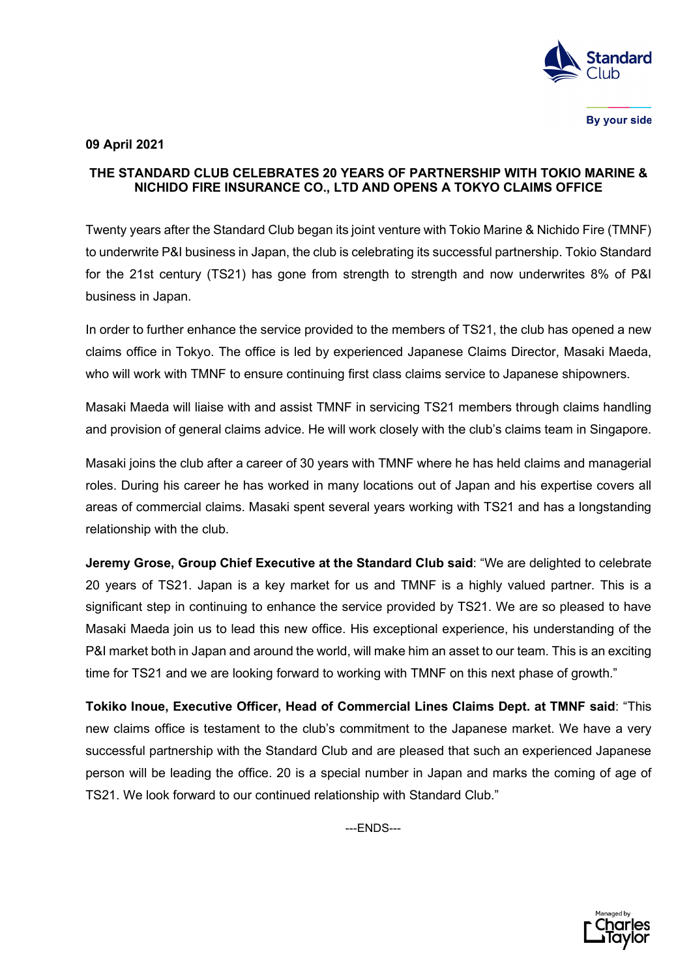

By your side

## **09 April 2021**

## **THE STANDARD CLUB CELEBRATES 20 YEARS OF PARTNERSHIP WITH TOKIO MARINE & NICHIDO FIRE INSURANCE CO., LTD AND OPENS A TOKYO CLAIMS OFFICE**

Twenty years after the Standard Club began its joint venture with Tokio Marine & Nichido Fire (TMNF) to underwrite P&I business in Japan, the club is celebrating its successful partnership. Tokio Standard for the 21st century (TS21) has gone from strength to strength and now underwrites 8% of P&I business in Japan.

In order to further enhance the service provided to the members of TS21, the club has opened a new claims office in Tokyo. The office is led by experienced Japanese Claims Director, Masaki Maeda, who will work with TMNF to ensure continuing first class claims service to Japanese shipowners.

Masaki Maeda will liaise with and assist TMNF in servicing TS21 members through claims handling and provision of general claims advice. He will work closely with the club's claims team in Singapore.

Masaki joins the club after a career of 30 years with TMNF where he has held claims and managerial roles. During his career he has worked in many locations out of Japan and his expertise covers all areas of commercial claims. Masaki spent several years working with TS21 and has a longstanding relationship with the club.

**Jeremy Grose, Group Chief Executive at the Standard Club said**: "We are delighted to celebrate 20 years of TS21. Japan is a key market for us and TMNF is a highly valued partner. This is a significant step in continuing to enhance the service provided by TS21. We are so pleased to have Masaki Maeda join us to lead this new office. His exceptional experience, his understanding of the P&I market both in Japan and around the world, will make him an asset to our team. This is an exciting time for TS21 and we are looking forward to working with TMNF on this next phase of growth."

**Tokiko Inoue, Executive Officer, Head of Commercial Lines Claims Dept. at TMNF said**: "This new claims office is testament to the club's commitment to the Japanese market. We have a very successful partnership with the Standard Club and are pleased that such an experienced Japanese person will be leading the office. 20 is a special number in Japan and marks the coming of age of TS21. We look forward to our continued relationship with Standard Club."

---ENDS---